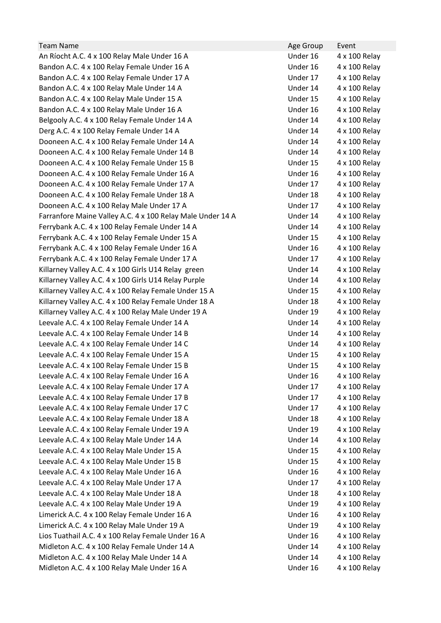| <b>Team Name</b>                                           | Age Group | Event         |
|------------------------------------------------------------|-----------|---------------|
| An Ríocht A.C. 4 x 100 Relay Male Under 16 A               | Under 16  | 4 x 100 Relay |
| Bandon A.C. 4 x 100 Relay Female Under 16 A                | Under 16  | 4 x 100 Relay |
| Bandon A.C. 4 x 100 Relay Female Under 17 A                | Under 17  | 4 x 100 Relay |
| Bandon A.C. 4 x 100 Relay Male Under 14 A                  | Under 14  | 4 x 100 Relay |
| Bandon A.C. 4 x 100 Relay Male Under 15 A                  | Under 15  | 4 x 100 Relay |
| Bandon A.C. 4 x 100 Relay Male Under 16 A                  | Under 16  | 4 x 100 Relay |
| Belgooly A.C. 4 x 100 Relay Female Under 14 A              | Under 14  | 4 x 100 Relay |
| Derg A.C. 4 x 100 Relay Female Under 14 A                  | Under 14  | 4 x 100 Relay |
| Dooneen A.C. 4 x 100 Relay Female Under 14 A               | Under 14  | 4 x 100 Relay |
| Dooneen A.C. 4 x 100 Relay Female Under 14 B               | Under 14  | 4 x 100 Relay |
| Dooneen A.C. 4 x 100 Relay Female Under 15 B               | Under 15  | 4 x 100 Relay |
| Dooneen A.C. 4 x 100 Relay Female Under 16 A               | Under 16  | 4 x 100 Relay |
| Dooneen A.C. 4 x 100 Relay Female Under 17 A               | Under 17  | 4 x 100 Relay |
| Dooneen A.C. 4 x 100 Relay Female Under 18 A               | Under 18  | 4 x 100 Relay |
| Dooneen A.C. 4 x 100 Relay Male Under 17 A                 | Under 17  | 4 x 100 Relay |
| Farranfore Maine Valley A.C. 4 x 100 Relay Male Under 14 A | Under 14  | 4 x 100 Relay |
| Ferrybank A.C. 4 x 100 Relay Female Under 14 A             | Under 14  | 4 x 100 Relay |
| Ferrybank A.C. 4 x 100 Relay Female Under 15 A             | Under 15  | 4 x 100 Relay |
| Ferrybank A.C. 4 x 100 Relay Female Under 16 A             | Under 16  | 4 x 100 Relay |
| Ferrybank A.C. 4 x 100 Relay Female Under 17 A             | Under 17  | 4 x 100 Relay |
| Killarney Valley A.C. 4 x 100 Girls U14 Relay green        | Under 14  | 4 x 100 Relay |
| Killarney Valley A.C. 4 x 100 Girls U14 Relay Purple       | Under 14  | 4 x 100 Relay |
| Killarney Valley A.C. 4 x 100 Relay Female Under 15 A      | Under 15  | 4 x 100 Relay |
| Killarney Valley A.C. 4 x 100 Relay Female Under 18 A      | Under 18  | 4 x 100 Relay |
| Killarney Valley A.C. 4 x 100 Relay Male Under 19 A        | Under 19  | 4 x 100 Relay |
| Leevale A.C. 4 x 100 Relay Female Under 14 A               | Under 14  | 4 x 100 Relay |
| Leevale A.C. 4 x 100 Relay Female Under 14 B               | Under 14  | 4 x 100 Relay |
| Leevale A.C. 4 x 100 Relay Female Under 14 C               | Under 14  | 4 x 100 Relay |
| Leevale A.C. 4 x 100 Relay Female Under 15 A               | Under 15  | 4 x 100 Relay |
| Leevale A.C. 4 x 100 Relay Female Under 15 B               | Under 15  | 4 x 100 Relay |
| Leevale A.C. 4 x 100 Relay Female Under 16 A               | Under 16  | 4 x 100 Relay |
| Leevale A.C. 4 x 100 Relay Female Under 17 A               | Under 17  | 4 x 100 Relay |
| Leevale A.C. 4 x 100 Relay Female Under 17 B               | Under 17  | 4 x 100 Relay |
| Leevale A.C. 4 x 100 Relay Female Under 17 C               | Under 17  | 4 x 100 Relay |
| Leevale A.C. 4 x 100 Relay Female Under 18 A               | Under 18  | 4 x 100 Relay |
| Leevale A.C. 4 x 100 Relay Female Under 19 A               | Under 19  | 4 x 100 Relay |
| Leevale A.C. 4 x 100 Relay Male Under 14 A                 | Under 14  | 4 x 100 Relay |
| Leevale A.C. 4 x 100 Relay Male Under 15 A                 | Under 15  | 4 x 100 Relay |
| Leevale A.C. 4 x 100 Relay Male Under 15 B                 | Under 15  | 4 x 100 Relay |
| Leevale A.C. 4 x 100 Relay Male Under 16 A                 | Under 16  | 4 x 100 Relay |
| Leevale A.C. 4 x 100 Relay Male Under 17 A                 | Under 17  | 4 x 100 Relay |
| Leevale A.C. 4 x 100 Relay Male Under 18 A                 | Under 18  | 4 x 100 Relay |
| Leevale A.C. 4 x 100 Relay Male Under 19 A                 | Under 19  | 4 x 100 Relay |
| Limerick A.C. 4 x 100 Relay Female Under 16 A              | Under 16  | 4 x 100 Relay |
| Limerick A.C. 4 x 100 Relay Male Under 19 A                | Under 19  | 4 x 100 Relay |
| Lios Tuathail A.C. 4 x 100 Relay Female Under 16 A         | Under 16  | 4 x 100 Relay |
| Midleton A.C. 4 x 100 Relay Female Under 14 A              | Under 14  | 4 x 100 Relay |
| Midleton A.C. 4 x 100 Relay Male Under 14 A                | Under 14  | 4 x 100 Relay |
| Midleton A.C. 4 x 100 Relay Male Under 16 A                | Under 16  | 4 x 100 Relay |